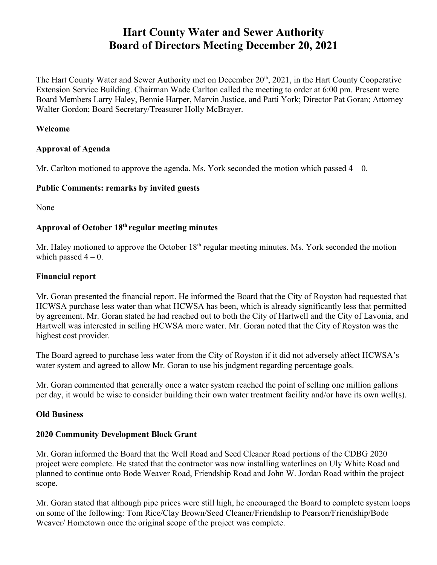# **Hart County Water and Sewer Authority Board of Directors Meeting December 20, 2021**

The Hart County Water and Sewer Authority met on December 20<sup>th</sup>, 2021, in the Hart County Cooperative Extension Service Building. Chairman Wade Carlton called the meeting to order at 6:00 pm. Present were Board Members Larry Haley, Bennie Harper, Marvin Justice, and Patti York; Director Pat Goran; Attorney Walter Gordon; Board Secretary/Treasurer Holly McBrayer.

#### **Welcome**

#### **Approval of Agenda**

Mr. Carlton motioned to approve the agenda. Ms. York seconded the motion which passed  $4 - 0$ .

#### **Public Comments: remarks by invited guests**

None

## **Approval of October 18th regular meeting minutes**

Mr. Haley motioned to approve the October 18<sup>th</sup> regular meeting minutes. Ms. York seconded the motion which passed  $4 - 0$ .

#### **Financial report**

Mr. Goran presented the financial report. He informed the Board that the City of Royston had requested that HCWSA purchase less water than what HCWSA has been, which is already significantly less that permitted by agreement. Mr. Goran stated he had reached out to both the City of Hartwell and the City of Lavonia, and Hartwell was interested in selling HCWSA more water. Mr. Goran noted that the City of Royston was the highest cost provider.

The Board agreed to purchase less water from the City of Royston if it did not adversely affect HCWSA's water system and agreed to allow Mr. Goran to use his judgment regarding percentage goals.

Mr. Goran commented that generally once a water system reached the point of selling one million gallons per day, it would be wise to consider building their own water treatment facility and/or have its own well(s).

#### **Old Business**

#### **2020 Community Development Block Grant**

Mr. Goran informed the Board that the Well Road and Seed Cleaner Road portions of the CDBG 2020 project were complete. He stated that the contractor was now installing waterlines on Uly White Road and planned to continue onto Bode Weaver Road, Friendship Road and John W. Jordan Road within the project scope.

Mr. Goran stated that although pipe prices were still high, he encouraged the Board to complete system loops on some of the following: Tom Rice/Clay Brown/Seed Cleaner/Friendship to Pearson/Friendship/Bode Weaver/ Hometown once the original scope of the project was complete.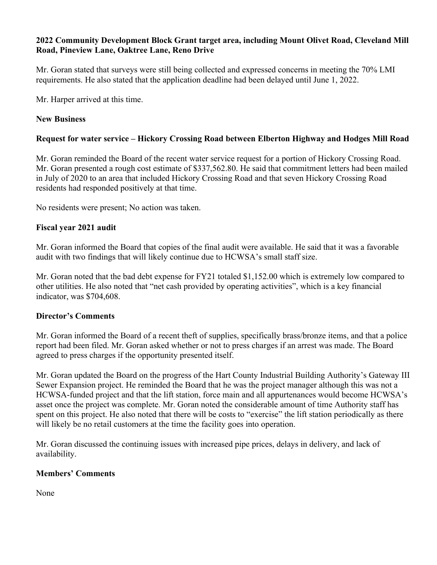#### **2022 Community Development Block Grant target area, including Mount Olivet Road, Cleveland Mill Road, Pineview Lane, Oaktree Lane, Reno Drive**

Mr. Goran stated that surveys were still being collected and expressed concerns in meeting the 70% LMI requirements. He also stated that the application deadline had been delayed until June 1, 2022.

Mr. Harper arrived at this time.

#### **New Business**

#### **Request for water service – Hickory Crossing Road between Elberton Highway and Hodges Mill Road**

Mr. Goran reminded the Board of the recent water service request for a portion of Hickory Crossing Road. Mr. Goran presented a rough cost estimate of \$337,562.80. He said that commitment letters had been mailed in July of 2020 to an area that included Hickory Crossing Road and that seven Hickory Crossing Road residents had responded positively at that time.

No residents were present; No action was taken.

#### **Fiscal year 2021 audit**

Mr. Goran informed the Board that copies of the final audit were available. He said that it was a favorable audit with two findings that will likely continue due to HCWSA's small staff size.

Mr. Goran noted that the bad debt expense for FY21 totaled \$1,152.00 which is extremely low compared to other utilities. He also noted that "net cash provided by operating activities", which is a key financial indicator, was \$704,608.

#### **Director's Comments**

Mr. Goran informed the Board of a recent theft of supplies, specifically brass/bronze items, and that a police report had been filed. Mr. Goran asked whether or not to press charges if an arrest was made. The Board agreed to press charges if the opportunity presented itself.

Mr. Goran updated the Board on the progress of the Hart County Industrial Building Authority's Gateway III Sewer Expansion project. He reminded the Board that he was the project manager although this was not a HCWSA-funded project and that the lift station, force main and all appurtenances would become HCWSA's asset once the project was complete. Mr. Goran noted the considerable amount of time Authority staff has spent on this project. He also noted that there will be costs to "exercise" the lift station periodically as there will likely be no retail customers at the time the facility goes into operation.

Mr. Goran discussed the continuing issues with increased pipe prices, delays in delivery, and lack of availability.

#### **Members' Comments**

None